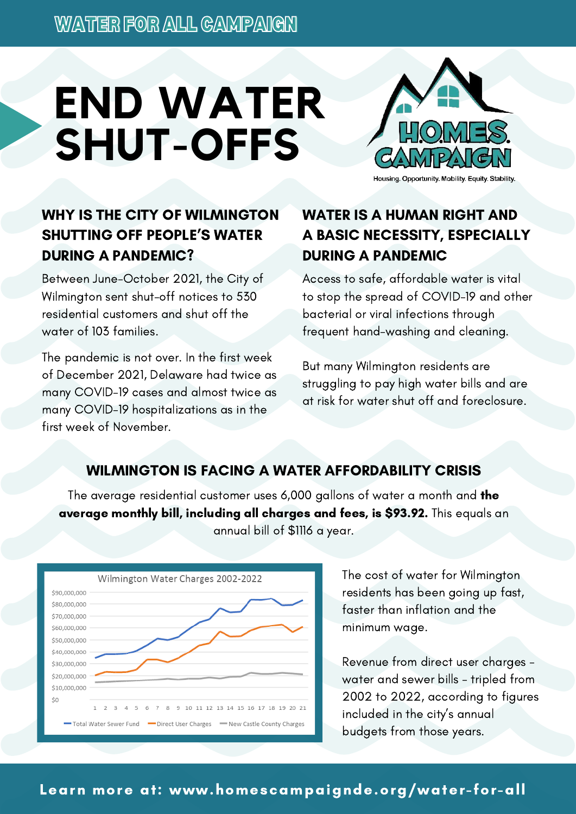# **END WATER SHUT-OFFS**



Housing. Opportunity. Mobility. Equity. Stability.

## WHY IS THE CITY OF WILMINGTON SHUTTING OFF PEOPLE'S WATER DURING A PANDEMIC?

Between June-October 2021, the City of Wilmington sent shut-off notices to 530 residential customers and shut off the water of 103 families.

The pandemic is not over. In the first week of December 2021, Delaware had twice as many COVID-19 cases and almost twice as many COVID-19 hospitalizations as in the first week of November.

### WATER IS A HUMAN RIGHT AND A BASIC NECESSITY, ESPECIALLY DURING A PANDEMIC

Access to safe, affordable water is vital to stop the spread of COVID-19 and other bacterial or viral infections through frequent hand-washing and cleaning.

But many Wilmington residents are struggling to pay high water bills and are at risk for water shut off and foreclosure.

# WILMINGTON IS FACING A WATER AFFORDABILITY CRISIS

The average residential customer uses 6,000 gallons of water a month and the average monthly bill, including all charges and fees, is \$93.92. This equals an annual bill of \$1116 a year.



The cost of water for Wilmington residents has been going up fast, faster than inflation and the minimum wage.

Revenue from direct user charges water and sewer bills - tripled from 2002 to 2022, according to figures included in the city's annual budgets from those years.

Learn more at: www.homescampaignde.org/water-for-all